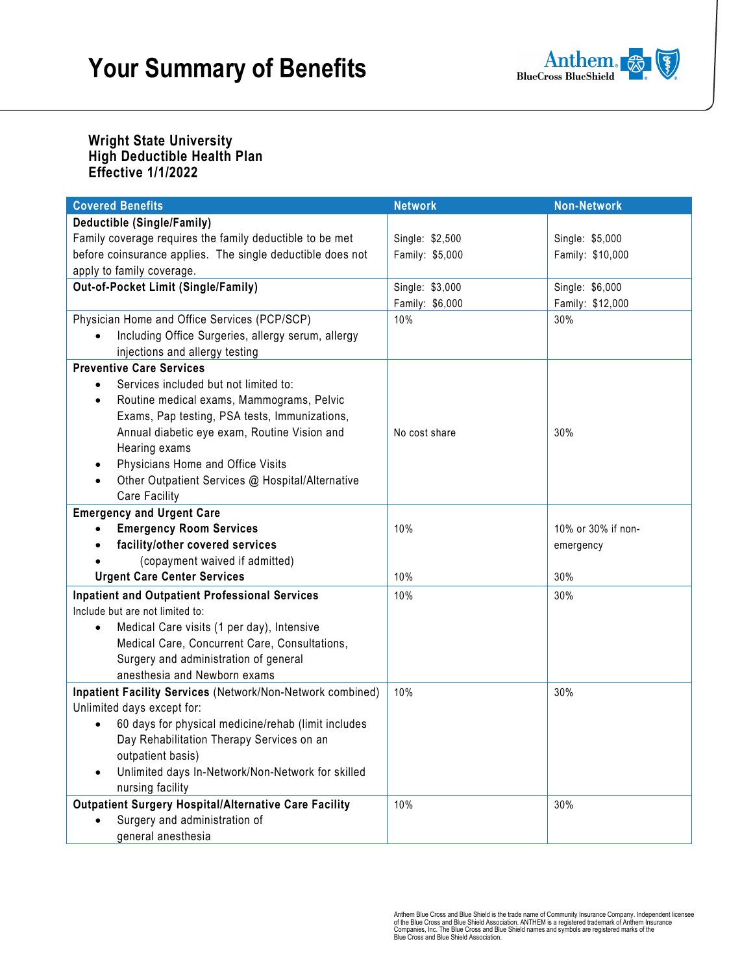

### **Wright State University High Deductible Health Plan Effective 1/1/2022**

| <b>Covered Benefits</b>                                    | <b>Network</b>  | <b>Non-Network</b> |
|------------------------------------------------------------|-----------------|--------------------|
| Deductible (Single/Family)                                 |                 |                    |
| Family coverage requires the family deductible to be met   | Single: \$2,500 | Single: \$5,000    |
| before coinsurance applies. The single deductible does not | Family: \$5,000 | Family: \$10,000   |
| apply to family coverage.                                  |                 |                    |
| Out-of-Pocket Limit (Single/Family)                        | Single: \$3,000 | Single: \$6,000    |
|                                                            | Family: \$6,000 | Family: \$12,000   |
| Physician Home and Office Services (PCP/SCP)               | 10%             | 30%                |
| Including Office Surgeries, allergy serum, allergy         |                 |                    |
| injections and allergy testing                             |                 |                    |
| <b>Preventive Care Services</b>                            |                 |                    |
| Services included but not limited to:                      |                 |                    |
| Routine medical exams, Mammograms, Pelvic<br>٠             |                 |                    |
| Exams, Pap testing, PSA tests, Immunizations,              |                 |                    |
| Annual diabetic eye exam, Routine Vision and               | No cost share   | 30%                |
| Hearing exams                                              |                 |                    |
| Physicians Home and Office Visits                          |                 |                    |
| Other Outpatient Services @ Hospital/Alternative           |                 |                    |
| Care Facility                                              |                 |                    |
| <b>Emergency and Urgent Care</b>                           |                 |                    |
| <b>Emergency Room Services</b><br>$\bullet$                | 10%             | 10% or 30% if non- |
| facility/other covered services                            |                 | emergency          |
| (copayment waived if admitted)                             |                 |                    |
| <b>Urgent Care Center Services</b>                         | 10%             | 30%                |
| <b>Inpatient and Outpatient Professional Services</b>      | 10%             | 30%                |
| Include but are not limited to:                            |                 |                    |
| Medical Care visits (1 per day), Intensive                 |                 |                    |
| Medical Care, Concurrent Care, Consultations,              |                 |                    |
| Surgery and administration of general                      |                 |                    |
| anesthesia and Newborn exams                               |                 |                    |
| Inpatient Facility Services (Network/Non-Network combined) | 10%             | 30%                |
| Unlimited days except for:                                 |                 |                    |
| 60 days for physical medicine/rehab (limit includes        |                 |                    |
| Day Rehabilitation Therapy Services on an                  |                 |                    |
| outpatient basis)                                          |                 |                    |
| Unlimited days In-Network/Non-Network for skilled          |                 |                    |
| nursing facility                                           |                 |                    |
| Outpatient Surgery Hospital/Alternative Care Facility      | 10%             | 30%                |
| Surgery and administration of                              |                 |                    |
| general anesthesia                                         |                 |                    |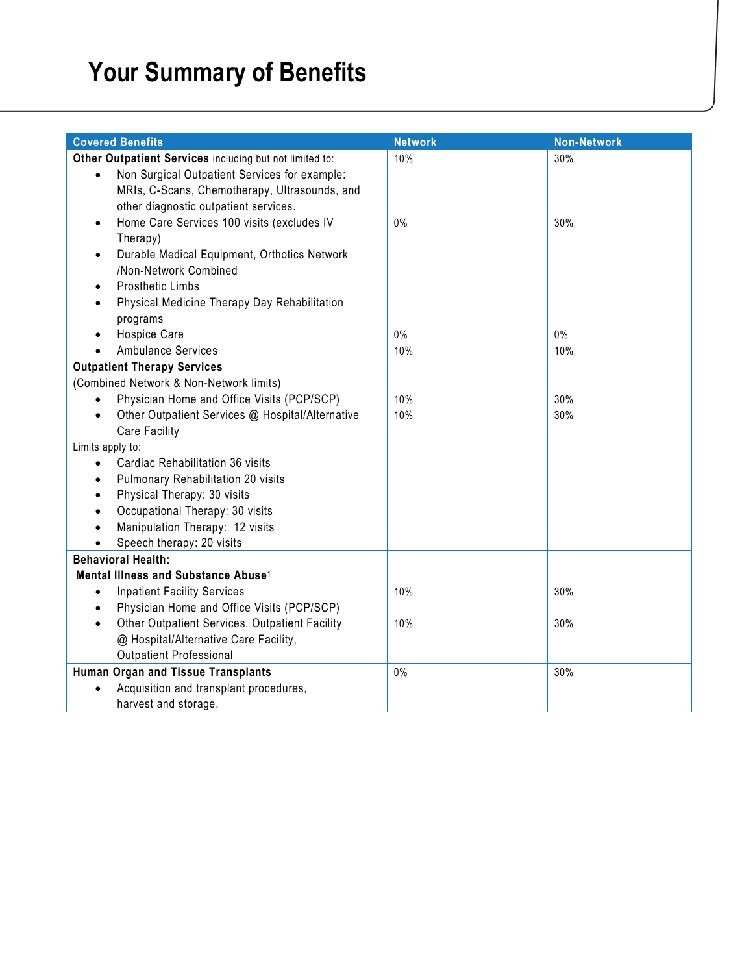# **Your Summary of Benefits**

| <b>Covered Benefits</b>                                       | <b>Network</b> | <b>Non-Network</b> |
|---------------------------------------------------------------|----------------|--------------------|
| Other Outpatient Services including but not limited to:       | 10%            | 30%                |
| Non Surgical Outpatient Services for example:<br>$\bullet$    |                |                    |
| MRIs, C-Scans, Chemotherapy, Ultrasounds, and                 |                |                    |
| other diagnostic outpatient services.                         |                |                    |
| Home Care Services 100 visits (excludes IV                    | $0\%$          | 30%                |
| Therapy)                                                      |                |                    |
| Durable Medical Equipment, Orthotics Network                  |                |                    |
| /Non-Network Combined                                         |                |                    |
| Prosthetic Limbs                                              |                |                    |
| Physical Medicine Therapy Day Rehabilitation                  |                |                    |
| programs                                                      |                |                    |
| Hospice Care                                                  | 0%             | 0%                 |
| <b>Ambulance Services</b>                                     | 10%            | 10%                |
| <b>Outpatient Therapy Services</b>                            |                |                    |
| (Combined Network & Non-Network limits)                       |                |                    |
| Physician Home and Office Visits (PCP/SCP)<br>$\bullet$       | 10%            | 30%                |
| Other Outpatient Services @ Hospital/Alternative<br>$\bullet$ | 10%            | 30%                |
| <b>Care Facility</b>                                          |                |                    |
| Limits apply to:                                              |                |                    |
| Cardiac Rehabilitation 36 visits<br>$\bullet$                 |                |                    |
| Pulmonary Rehabilitation 20 visits<br>$\bullet$               |                |                    |
| Physical Therapy: 30 visits<br>$\bullet$                      |                |                    |
| Occupational Therapy: 30 visits<br>$\bullet$                  |                |                    |
| Manipulation Therapy: 12 visits                               |                |                    |
| Speech therapy: 20 visits<br>$\bullet$                        |                |                    |
| <b>Behavioral Health:</b>                                     |                |                    |
| Mental Illness and Substance Abuse <sup>1</sup>               |                |                    |
| <b>Inpatient Facility Services</b><br>$\bullet$               | 10%            | 30%                |
| Physician Home and Office Visits (PCP/SCP)<br>$\bullet$       |                |                    |
| Other Outpatient Services. Outpatient Facility<br>$\bullet$   | 10%            | 30%                |
| @ Hospital/Alternative Care Facility,                         |                |                    |
| <b>Outpatient Professional</b>                                |                |                    |
| Human Organ and Tissue Transplants                            | 0%             | 30%                |
| Acquisition and transplant procedures,                        |                |                    |
| harvest and storage.                                          |                |                    |